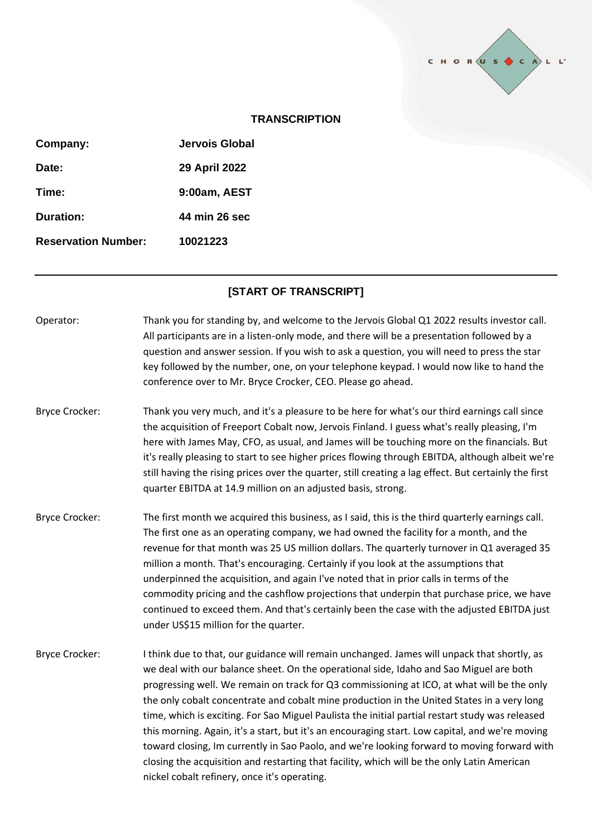

## **TRANSCRIPTION**

| Jervois Global |
|----------------|
| 29 April 2022  |
| 9:00am, AEST   |
| 44 min 26 sec  |
| 10021223       |
|                |

## **[START OF TRANSCRIPT]**

- Operator: Thank you for standing by, and welcome to the Jervois Global Q1 2022 results investor call. All participants are in a listen-only mode, and there will be a presentation followed by a question and answer session. If you wish to ask a question, you will need to press the star key followed by the number, one, on your telephone keypad. I would now like to hand the conference over to Mr. Bryce Crocker, CEO. Please go ahead.
- Bryce Crocker: Thank you very much, and it's a pleasure to be here for what's our third earnings call since the acquisition of Freeport Cobalt now, Jervois Finland. I guess what's really pleasing, I'm here with James May, CFO, as usual, and James will be touching more on the financials. But it's really pleasing to start to see higher prices flowing through EBITDA, although albeit we're still having the rising prices over the quarter, still creating a lag effect. But certainly the first quarter EBITDA at 14.9 million on an adjusted basis, strong.
- Bryce Crocker: The first month we acquired this business, as I said, this is the third quarterly earnings call. The first one as an operating company, we had owned the facility for a month, and the revenue for that month was 25 US million dollars. The quarterly turnover in Q1 averaged 35 million a month. That's encouraging. Certainly if you look at the assumptions that underpinned the acquisition, and again I've noted that in prior calls in terms of the commodity pricing and the cashflow projections that underpin that purchase price, we have continued to exceed them. And that's certainly been the case with the adjusted EBITDA just under US\$15 million for the quarter.
- Bryce Crocker: I think due to that, our guidance will remain unchanged. James will unpack that shortly, as we deal with our balance sheet. On the operational side, Idaho and Sao Miguel are both progressing well. We remain on track for Q3 commissioning at ICO, at what will be the only the only cobalt concentrate and cobalt mine production in the United States in a very long time, which is exciting. For Sao Miguel Paulista the initial partial restart study was released this morning. Again, it's a start, but it's an encouraging start. Low capital, and we're moving toward closing, Im currently in Sao Paolo, and we're looking forward to moving forward with closing the acquisition and restarting that facility, which will be the only Latin American nickel cobalt refinery, once it's operating.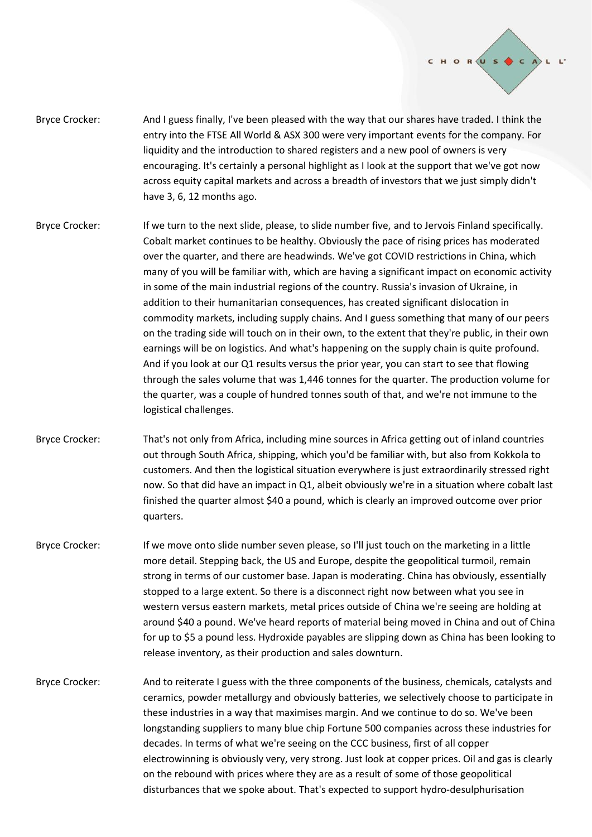

- Bryce Crocker: And I guess finally, I've been pleased with the way that our shares have traded. I think the entry into the FTSE All World & ASX 300 were very important events for the company. For liquidity and the introduction to shared registers and a new pool of owners is very encouraging. It's certainly a personal highlight as I look at the support that we've got now across equity capital markets and across a breadth of investors that we just simply didn't have 3, 6, 12 months ago.
- Bryce Crocker: If we turn to the next slide, please, to slide number five, and to Jervois Finland specifically. Cobalt market continues to be healthy. Obviously the pace of rising prices has moderated over the quarter, and there are headwinds. We've got COVID restrictions in China, which many of you will be familiar with, which are having a significant impact on economic activity in some of the main industrial regions of the country. Russia's invasion of Ukraine, in addition to their humanitarian consequences, has created significant dislocation in commodity markets, including supply chains. And I guess something that many of our peers on the trading side will touch on in their own, to the extent that they're public, in their own earnings will be on logistics. And what's happening on the supply chain is quite profound. And if you look at our Q1 results versus the prior year, you can start to see that flowing through the sales volume that was 1,446 tonnes for the quarter. The production volume for the quarter, was a couple of hundred tonnes south of that, and we're not immune to the logistical challenges.
- Bryce Crocker: That's not only from Africa, including mine sources in Africa getting out of inland countries out through South Africa, shipping, which you'd be familiar with, but also from Kokkola to customers. And then the logistical situation everywhere is just extraordinarily stressed right now. So that did have an impact in Q1, albeit obviously we're in a situation where cobalt last finished the quarter almost \$40 a pound, which is clearly an improved outcome over prior quarters.
- Bryce Crocker: If we move onto slide number seven please, so I'll just touch on the marketing in a little more detail. Stepping back, the US and Europe, despite the geopolitical turmoil, remain strong in terms of our customer base. Japan is moderating. China has obviously, essentially stopped to a large extent. So there is a disconnect right now between what you see in western versus eastern markets, metal prices outside of China we're seeing are holding at around \$40 a pound. We've heard reports of material being moved in China and out of China for up to \$5 a pound less. Hydroxide payables are slipping down as China has been looking to release inventory, as their production and sales downturn.
- Bryce Crocker: And to reiterate I guess with the three components of the business, chemicals, catalysts and ceramics, powder metallurgy and obviously batteries, we selectively choose to participate in these industries in a way that maximises margin. And we continue to do so. We've been longstanding suppliers to many blue chip Fortune 500 companies across these industries for decades. In terms of what we're seeing on the CCC business, first of all copper electrowinning is obviously very, very strong. Just look at copper prices. Oil and gas is clearly on the rebound with prices where they are as a result of some of those geopolitical disturbances that we spoke about. That's expected to support hydro-desulphurisation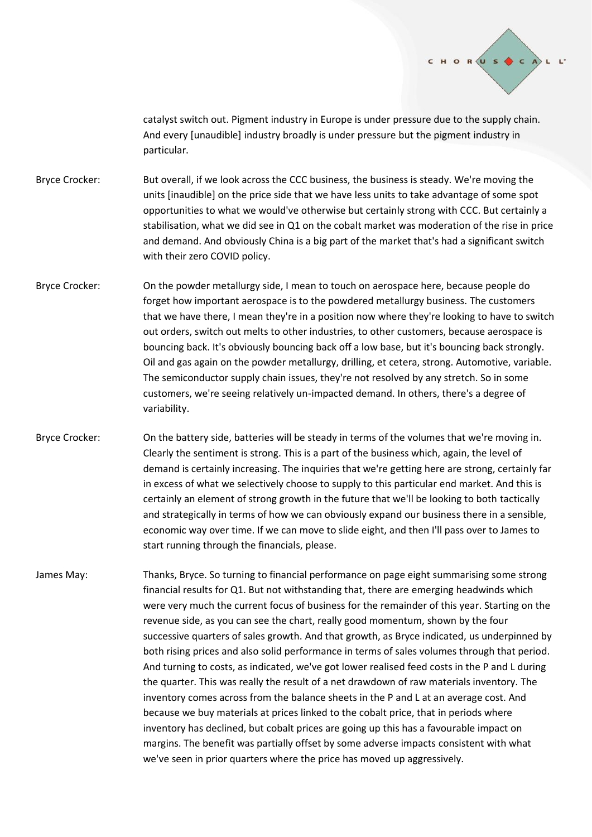

catalyst switch out. Pigment industry in Europe is under pressure due to the supply chain. And every [unaudible] industry broadly is under pressure but the pigment industry in particular.

- Bryce Crocker: But overall, if we look across the CCC business, the business is steady. We're moving the units [inaudible] on the price side that we have less units to take advantage of some spot opportunities to what we would've otherwise but certainly strong with CCC. But certainly a stabilisation, what we did see in Q1 on the cobalt market was moderation of the rise in price and demand. And obviously China is a big part of the market that's had a significant switch with their zero COVID policy.
- Bryce Crocker: On the powder metallurgy side, I mean to touch on aerospace here, because people do forget how important aerospace is to the powdered metallurgy business. The customers that we have there, I mean they're in a position now where they're looking to have to switch out orders, switch out melts to other industries, to other customers, because aerospace is bouncing back. It's obviously bouncing back off a low base, but it's bouncing back strongly. Oil and gas again on the powder metallurgy, drilling, et cetera, strong. Automotive, variable. The semiconductor supply chain issues, they're not resolved by any stretch. So in some customers, we're seeing relatively un-impacted demand. In others, there's a degree of variability.
- Bryce Crocker: On the battery side, batteries will be steady in terms of the volumes that we're moving in. Clearly the sentiment is strong. This is a part of the business which, again, the level of demand is certainly increasing. The inquiries that we're getting here are strong, certainly far in excess of what we selectively choose to supply to this particular end market. And this is certainly an element of strong growth in the future that we'll be looking to both tactically and strategically in terms of how we can obviously expand our business there in a sensible, economic way over time. If we can move to slide eight, and then I'll pass over to James to start running through the financials, please.
- James May: Thanks, Bryce. So turning to financial performance on page eight summarising some strong financial results for Q1. But not withstanding that, there are emerging headwinds which were very much the current focus of business for the remainder of this year. Starting on the revenue side, as you can see the chart, really good momentum, shown by the four successive quarters of sales growth. And that growth, as Bryce indicated, us underpinned by both rising prices and also solid performance in terms of sales volumes through that period. And turning to costs, as indicated, we've got lower realised feed costs in the P and L during the quarter. This was really the result of a net drawdown of raw materials inventory. The inventory comes across from the balance sheets in the P and L at an average cost. And because we buy materials at prices linked to the cobalt price, that in periods where inventory has declined, but cobalt prices are going up this has a favourable impact on margins. The benefit was partially offset by some adverse impacts consistent with what we've seen in prior quarters where the price has moved up aggressively.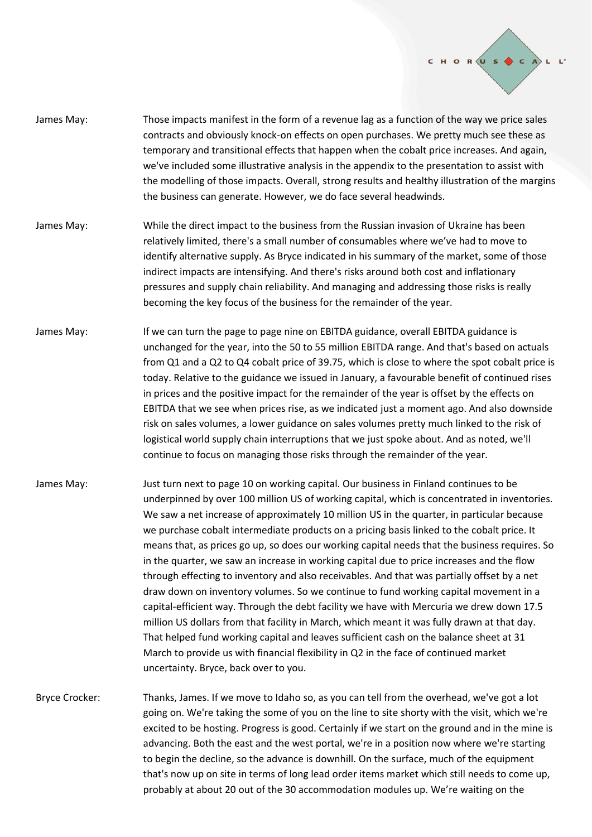

- James May: Those impacts manifest in the form of a revenue lag as a function of the way we price sales contracts and obviously knock-on effects on open purchases. We pretty much see these as temporary and transitional effects that happen when the cobalt price increases. And again, we've included some illustrative analysis in the appendix to the presentation to assist with the modelling of those impacts. Overall, strong results and healthy illustration of the margins the business can generate. However, we do face several headwinds.
- James May: While the direct impact to the business from the Russian invasion of Ukraine has been relatively limited, there's a small number of consumables where we've had to move to identify alternative supply. As Bryce indicated in his summary of the market, some of those indirect impacts are intensifying. And there's risks around both cost and inflationary pressures and supply chain reliability. And managing and addressing those risks is really becoming the key focus of the business for the remainder of the year.
- James May: If we can turn the page to page nine on EBITDA guidance, overall EBITDA guidance is unchanged for the year, into the 50 to 55 million EBITDA range. And that's based on actuals from Q1 and a Q2 to Q4 cobalt price of 39.75, which is close to where the spot cobalt price is today. Relative to the guidance we issued in January, a favourable benefit of continued rises in prices and the positive impact for the remainder of the year is offset by the effects on EBITDA that we see when prices rise, as we indicated just a moment ago. And also downside risk on sales volumes, a lower guidance on sales volumes pretty much linked to the risk of logistical world supply chain interruptions that we just spoke about. And as noted, we'll continue to focus on managing those risks through the remainder of the year.
- James May: Just turn next to page 10 on working capital. Our business in Finland continues to be underpinned by over 100 million US of working capital, which is concentrated in inventories. We saw a net increase of approximately 10 million US in the quarter, in particular because we purchase cobalt intermediate products on a pricing basis linked to the cobalt price. It means that, as prices go up, so does our working capital needs that the business requires. So in the quarter, we saw an increase in working capital due to price increases and the flow through effecting to inventory and also receivables. And that was partially offset by a net draw down on inventory volumes. So we continue to fund working capital movement in a capital-efficient way. Through the debt facility we have with Mercuria we drew down 17.5 million US dollars from that facility in March, which meant it was fully drawn at that day. That helped fund working capital and leaves sufficient cash on the balance sheet at 31 March to provide us with financial flexibility in Q2 in the face of continued market uncertainty. Bryce, back over to you.
- Bryce Crocker: Thanks, James. If we move to Idaho so, as you can tell from the overhead, we've got a lot going on. We're taking the some of you on the line to site shorty with the visit, which we're excited to be hosting. Progress is good. Certainly if we start on the ground and in the mine is advancing. Both the east and the west portal, we're in a position now where we're starting to begin the decline, so the advance is downhill. On the surface, much of the equipment that's now up on site in terms of long lead order items market which still needs to come up, probably at about 20 out of the 30 accommodation modules up. We're waiting on the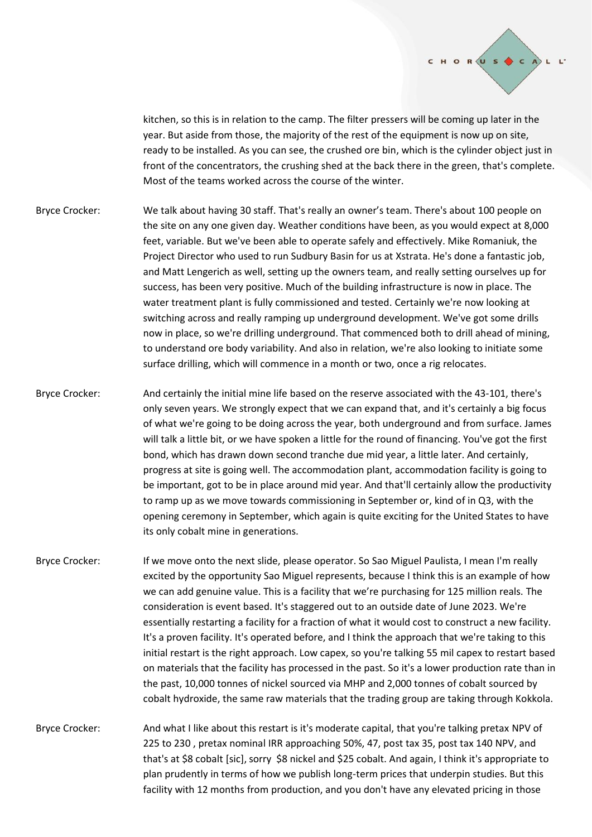

kitchen, so this is in relation to the camp. The filter pressers will be coming up later in the year. But aside from those, the majority of the rest of the equipment is now up on site, ready to be installed. As you can see, the crushed ore bin, which is the cylinder object just in front of the concentrators, the crushing shed at the back there in the green, that's complete. Most of the teams worked across the course of the winter.

- Bryce Crocker: We talk about having 30 staff. That's really an owner's team. There's about 100 people on the site on any one given day. Weather conditions have been, as you would expect at 8,000 feet, variable. But we've been able to operate safely and effectively. Mike Romaniuk, the Project Director who used to run Sudbury Basin for us at Xstrata. He's done a fantastic job, and Matt Lengerich as well, setting up the owners team, and really setting ourselves up for success, has been very positive. Much of the building infrastructure is now in place. The water treatment plant is fully commissioned and tested. Certainly we're now looking at switching across and really ramping up underground development. We've got some drills now in place, so we're drilling underground. That commenced both to drill ahead of mining, to understand ore body variability. And also in relation, we're also looking to initiate some surface drilling, which will commence in a month or two, once a rig relocates.
- Bryce Crocker: And certainly the initial mine life based on the reserve associated with the 43-101, there's only seven years. We strongly expect that we can expand that, and it's certainly a big focus of what we're going to be doing across the year, both underground and from surface. James will talk a little bit, or we have spoken a little for the round of financing. You've got the first bond, which has drawn down second tranche due mid year, a little later. And certainly, progress at site is going well. The accommodation plant, accommodation facility is going to be important, got to be in place around mid year. And that'll certainly allow the productivity to ramp up as we move towards commissioning in September or, kind of in Q3, with the opening ceremony in September, which again is quite exciting for the United States to have its only cobalt mine in generations.
- Bryce Crocker: If we move onto the next slide, please operator. So Sao Miguel Paulista, I mean I'm really excited by the opportunity Sao Miguel represents, because I think this is an example of how we can add genuine value. This is a facility that we're purchasing for 125 million reals. The consideration is event based. It's staggered out to an outside date of June 2023. We're essentially restarting a facility for a fraction of what it would cost to construct a new facility. It's a proven facility. It's operated before, and I think the approach that we're taking to this initial restart is the right approach. Low capex, so you're talking 55 mil capex to restart based on materials that the facility has processed in the past. So it's a lower production rate than in the past, 10,000 tonnes of nickel sourced via MHP and 2,000 tonnes of cobalt sourced by cobalt hydroxide, the same raw materials that the trading group are taking through Kokkola.
- Bryce Crocker: And what I like about this restart is it's moderate capital, that you're talking pretax NPV of 225 to 230 , pretax nominal IRR approaching 50%, 47, post tax 35, post tax 140 NPV, and that's at \$8 cobalt [sic], sorry \$8 nickel and \$25 cobalt. And again, I think it's appropriate to plan prudently in terms of how we publish long-term prices that underpin studies. But this facility with 12 months from production, and you don't have any elevated pricing in those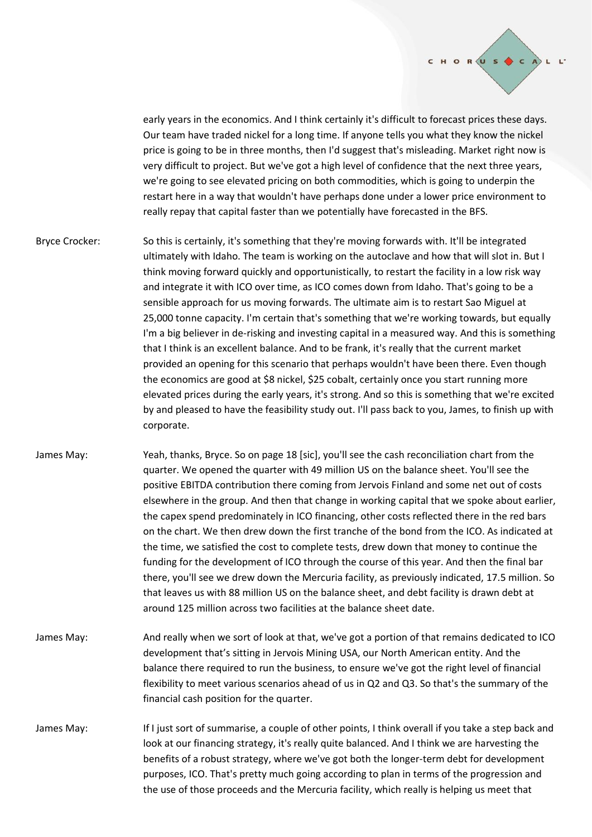

early years in the economics. And I think certainly it's difficult to forecast prices these days. Our team have traded nickel for a long time. If anyone tells you what they know the nickel price is going to be in three months, then I'd suggest that's misleading. Market right now is very difficult to project. But we've got a high level of confidence that the next three years, we're going to see elevated pricing on both commodities, which is going to underpin the restart here in a way that wouldn't have perhaps done under a lower price environment to really repay that capital faster than we potentially have forecasted in the BFS.

Bryce Crocker: So this is certainly, it's something that they're moving forwards with. It'll be integrated ultimately with Idaho. The team is working on the autoclave and how that will slot in. But I think moving forward quickly and opportunistically, to restart the facility in a low risk way and integrate it with ICO over time, as ICO comes down from Idaho. That's going to be a sensible approach for us moving forwards. The ultimate aim is to restart Sao Miguel at 25,000 tonne capacity. I'm certain that's something that we're working towards, but equally I'm a big believer in de-risking and investing capital in a measured way. And this is something that I think is an excellent balance. And to be frank, it's really that the current market provided an opening for this scenario that perhaps wouldn't have been there. Even though the economics are good at \$8 nickel, \$25 cobalt, certainly once you start running more elevated prices during the early years, it's strong. And so this is something that we're excited by and pleased to have the feasibility study out. I'll pass back to you, James, to finish up with corporate.

- James May: Yeah, thanks, Bryce. So on page 18 [sic], you'll see the cash reconciliation chart from the quarter. We opened the quarter with 49 million US on the balance sheet. You'll see the positive EBITDA contribution there coming from Jervois Finland and some net out of costs elsewhere in the group. And then that change in working capital that we spoke about earlier, the capex spend predominately in ICO financing, other costs reflected there in the red bars on the chart. We then drew down the first tranche of the bond from the ICO. As indicated at the time, we satisfied the cost to complete tests, drew down that money to continue the funding for the development of ICO through the course of this year. And then the final bar there, you'll see we drew down the Mercuria facility, as previously indicated, 17.5 million. So that leaves us with 88 million US on the balance sheet, and debt facility is drawn debt at around 125 million across two facilities at the balance sheet date.
- James May: And really when we sort of look at that, we've got a portion of that remains dedicated to ICO development that's sitting in Jervois Mining USA, our North American entity. And the balance there required to run the business, to ensure we've got the right level of financial flexibility to meet various scenarios ahead of us in Q2 and Q3. So that's the summary of the financial cash position for the quarter.
- James May: If I just sort of summarise, a couple of other points, I think overall if you take a step back and look at our financing strategy, it's really quite balanced. And I think we are harvesting the benefits of a robust strategy, where we've got both the longer-term debt for development purposes, ICO. That's pretty much going according to plan in terms of the progression and the use of those proceeds and the Mercuria facility, which really is helping us meet that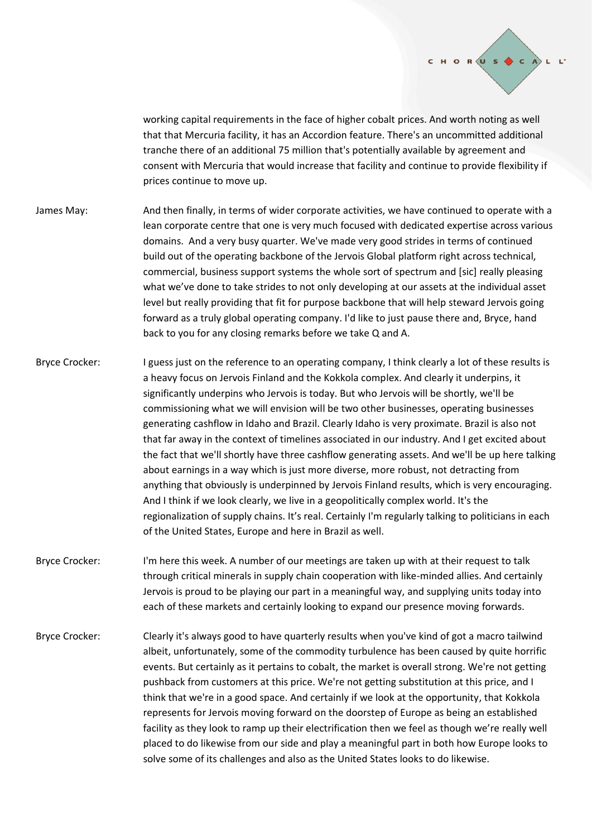

working capital requirements in the face of higher cobalt prices. And worth noting as well that that Mercuria facility, it has an Accordion feature. There's an uncommitted additional tranche there of an additional 75 million that's potentially available by agreement and consent with Mercuria that would increase that facility and continue to provide flexibility if prices continue to move up.

- James May: And then finally, in terms of wider corporate activities, we have continued to operate with a lean corporate centre that one is very much focused with dedicated expertise across various domains. And a very busy quarter. We've made very good strides in terms of continued build out of the operating backbone of the Jervois Global platform right across technical, commercial, business support systems the whole sort of spectrum and [sic] really pleasing what we've done to take strides to not only developing at our assets at the individual asset level but really providing that fit for purpose backbone that will help steward Jervois going forward as a truly global operating company. I'd like to just pause there and, Bryce, hand back to you for any closing remarks before we take Q and A.
- Bryce Crocker: I guess just on the reference to an operating company, I think clearly a lot of these results is a heavy focus on Jervois Finland and the Kokkola complex. And clearly it underpins, it significantly underpins who Jervois is today. But who Jervois will be shortly, we'll be commissioning what we will envision will be two other businesses, operating businesses generating cashflow in Idaho and Brazil. Clearly Idaho is very proximate. Brazil is also not that far away in the context of timelines associated in our industry. And I get excited about the fact that we'll shortly have three cashflow generating assets. And we'll be up here talking about earnings in a way which is just more diverse, more robust, not detracting from anything that obviously is underpinned by Jervois Finland results, which is very encouraging. And I think if we look clearly, we live in a geopolitically complex world. It's the regionalization of supply chains. It's real. Certainly I'm regularly talking to politicians in each of the United States, Europe and here in Brazil as well.
- Bryce Crocker: I'm here this week. A number of our meetings are taken up with at their request to talk through critical minerals in supply chain cooperation with like-minded allies. And certainly Jervois is proud to be playing our part in a meaningful way, and supplying units today into each of these markets and certainly looking to expand our presence moving forwards.
- Bryce Crocker: Clearly it's always good to have quarterly results when you've kind of got a macro tailwind albeit, unfortunately, some of the commodity turbulence has been caused by quite horrific events. But certainly as it pertains to cobalt, the market is overall strong. We're not getting pushback from customers at this price. We're not getting substitution at this price, and I think that we're in a good space. And certainly if we look at the opportunity, that Kokkola represents for Jervois moving forward on the doorstep of Europe as being an established facility as they look to ramp up their electrification then we feel as though we're really well placed to do likewise from our side and play a meaningful part in both how Europe looks to solve some of its challenges and also as the United States looks to do likewise.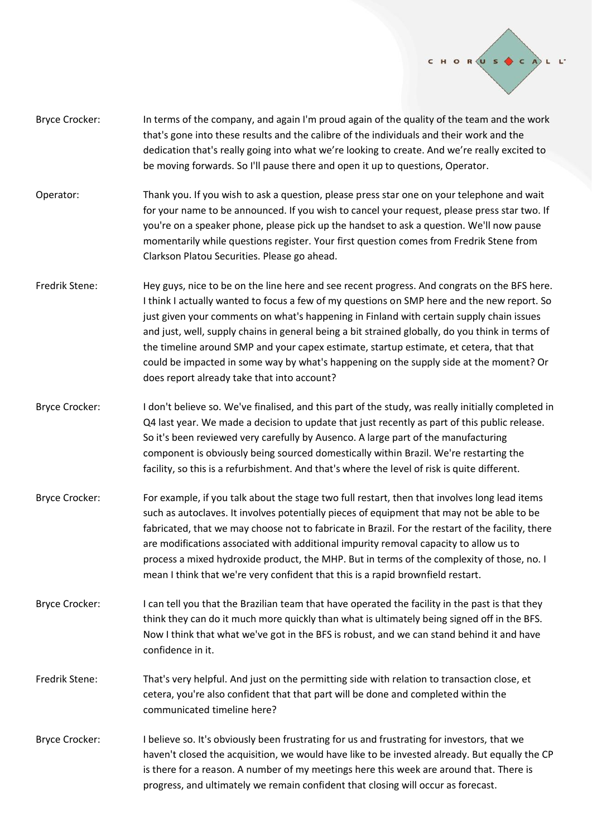

- Bryce Crocker: In terms of the company, and again I'm proud again of the quality of the team and the work that's gone into these results and the calibre of the individuals and their work and the dedication that's really going into what we're looking to create. And we're really excited to be moving forwards. So I'll pause there and open it up to questions, Operator.
- Operator: Thank you. If you wish to ask a question, please press star one on your telephone and wait for your name to be announced. If you wish to cancel your request, please press star two. If you're on a speaker phone, please pick up the handset to ask a question. We'll now pause momentarily while questions register. Your first question comes from Fredrik Stene from Clarkson Platou Securities. Please go ahead.
- Fredrik Stene: Hey guys, nice to be on the line here and see recent progress. And congrats on the BFS here. I think I actually wanted to focus a few of my questions on SMP here and the new report. So just given your comments on what's happening in Finland with certain supply chain issues and just, well, supply chains in general being a bit strained globally, do you think in terms of the timeline around SMP and your capex estimate, startup estimate, et cetera, that that could be impacted in some way by what's happening on the supply side at the moment? Or does report already take that into account?
- Bryce Crocker: I don't believe so. We've finalised, and this part of the study, was really initially completed in Q4 last year. We made a decision to update that just recently as part of this public release. So it's been reviewed very carefully by Ausenco. A large part of the manufacturing component is obviously being sourced domestically within Brazil. We're restarting the facility, so this is a refurbishment. And that's where the level of risk is quite different.
- Bryce Crocker: For example, if you talk about the stage two full restart, then that involves long lead items such as autoclaves. It involves potentially pieces of equipment that may not be able to be fabricated, that we may choose not to fabricate in Brazil. For the restart of the facility, there are modifications associated with additional impurity removal capacity to allow us to process a mixed hydroxide product, the MHP. But in terms of the complexity of those, no. I mean I think that we're very confident that this is a rapid brownfield restart.
- Bryce Crocker: I can tell you that the Brazilian team that have operated the facility in the past is that they think they can do it much more quickly than what is ultimately being signed off in the BFS. Now I think that what we've got in the BFS is robust, and we can stand behind it and have confidence in it.
- Fredrik Stene: That's very helpful. And just on the permitting side with relation to transaction close, et cetera, you're also confident that that part will be done and completed within the communicated timeline here?
- Bryce Crocker: I believe so. It's obviously been frustrating for us and frustrating for investors, that we haven't closed the acquisition, we would have like to be invested already. But equally the CP is there for a reason. A number of my meetings here this week are around that. There is progress, and ultimately we remain confident that closing will occur as forecast.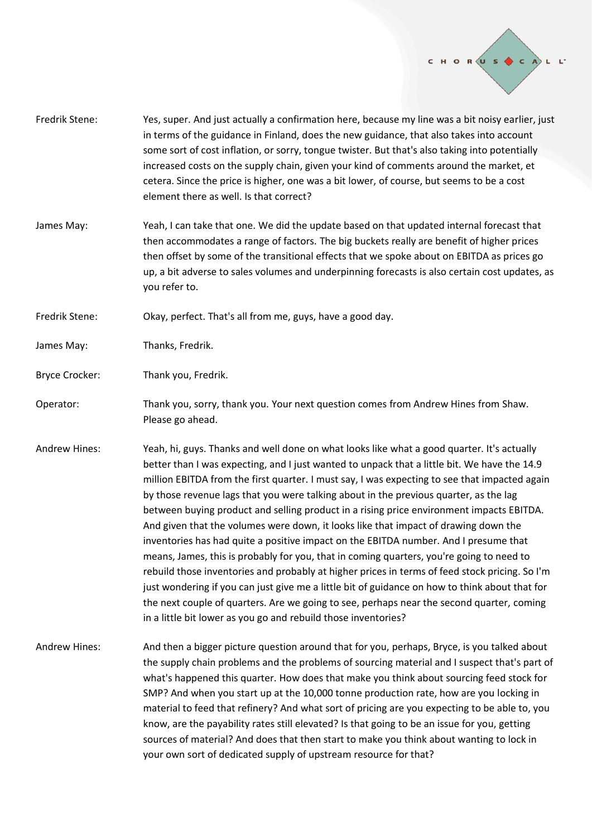

- Fredrik Stene: Yes, super. And just actually a confirmation here, because my line was a bit noisy earlier, just in terms of the guidance in Finland, does the new guidance, that also takes into account some sort of cost inflation, or sorry, tongue twister. But that's also taking into potentially increased costs on the supply chain, given your kind of comments around the market, et cetera. Since the price is higher, one was a bit lower, of course, but seems to be a cost element there as well. Is that correct?
- James May: Yeah, I can take that one. We did the update based on that updated internal forecast that then accommodates a range of factors. The big buckets really are benefit of higher prices then offset by some of the transitional effects that we spoke about on EBITDA as prices go up, a bit adverse to sales volumes and underpinning forecasts is also certain cost updates, as you refer to.
- Fredrik Stene: Okay, perfect. That's all from me, guys, have a good day.
- James May: Thanks, Fredrik.
- Bryce Crocker: Thank you, Fredrik.
- Operator: Thank you, sorry, thank you. Your next question comes from Andrew Hines from Shaw. Please go ahead.
- Andrew Hines: Yeah, hi, guys. Thanks and well done on what looks like what a good quarter. It's actually better than I was expecting, and I just wanted to unpack that a little bit. We have the 14.9 million EBITDA from the first quarter. I must say, I was expecting to see that impacted again by those revenue lags that you were talking about in the previous quarter, as the lag between buying product and selling product in a rising price environment impacts EBITDA. And given that the volumes were down, it looks like that impact of drawing down the inventories has had quite a positive impact on the EBITDA number. And I presume that means, James, this is probably for you, that in coming quarters, you're going to need to rebuild those inventories and probably at higher prices in terms of feed stock pricing. So I'm just wondering if you can just give me a little bit of guidance on how to think about that for the next couple of quarters. Are we going to see, perhaps near the second quarter, coming in a little bit lower as you go and rebuild those inventories?
- Andrew Hines: And then a bigger picture question around that for you, perhaps, Bryce, is you talked about the supply chain problems and the problems of sourcing material and I suspect that's part of what's happened this quarter. How does that make you think about sourcing feed stock for SMP? And when you start up at the 10,000 tonne production rate, how are you locking in material to feed that refinery? And what sort of pricing are you expecting to be able to, you know, are the payability rates still elevated? Is that going to be an issue for you, getting sources of material? And does that then start to make you think about wanting to lock in your own sort of dedicated supply of upstream resource for that?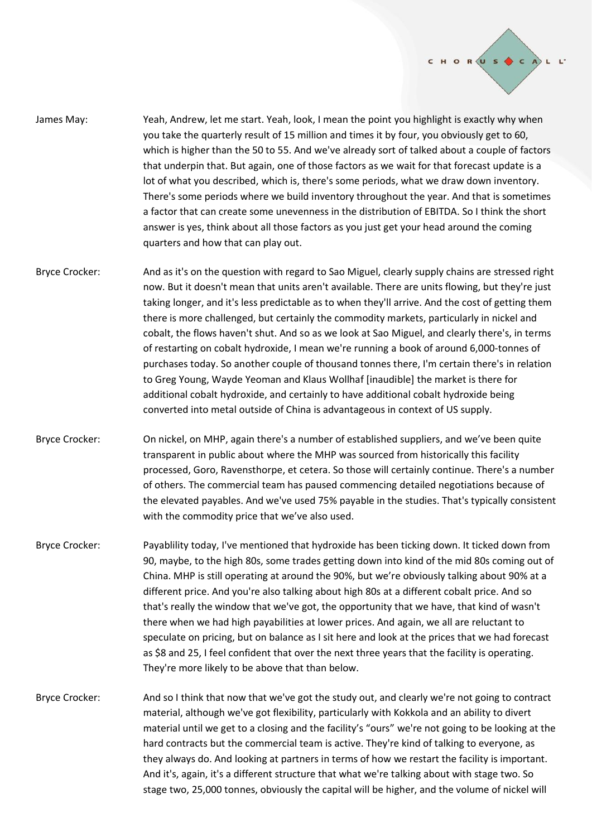

- James May: Yeah, Andrew, let me start. Yeah, look, I mean the point you highlight is exactly why when you take the quarterly result of 15 million and times it by four, you obviously get to 60, which is higher than the 50 to 55. And we've already sort of talked about a couple of factors that underpin that. But again, one of those factors as we wait for that forecast update is a lot of what you described, which is, there's some periods, what we draw down inventory. There's some periods where we build inventory throughout the year. And that is sometimes a factor that can create some unevenness in the distribution of EBITDA. So I think the short answer is yes, think about all those factors as you just get your head around the coming quarters and how that can play out.
- Bryce Crocker: And as it's on the question with regard to Sao Miguel, clearly supply chains are stressed right now. But it doesn't mean that units aren't available. There are units flowing, but they're just taking longer, and it's less predictable as to when they'll arrive. And the cost of getting them there is more challenged, but certainly the commodity markets, particularly in nickel and cobalt, the flows haven't shut. And so as we look at Sao Miguel, and clearly there's, in terms of restarting on cobalt hydroxide, I mean we're running a book of around 6,000-tonnes of purchases today. So another couple of thousand tonnes there, I'm certain there's in relation to Greg Young, Wayde Yeoman and Klaus Wollhaf [inaudible] the market is there for additional cobalt hydroxide, and certainly to have additional cobalt hydroxide being converted into metal outside of China is advantageous in context of US supply.
- Bryce Crocker: On nickel, on MHP, again there's a number of established suppliers, and we've been quite transparent in public about where the MHP was sourced from historically this facility processed, Goro, Ravensthorpe, et cetera. So those will certainly continue. There's a number of others. The commercial team has paused commencing detailed negotiations because of the elevated payables. And we've used 75% payable in the studies. That's typically consistent with the commodity price that we've also used.
- Bryce Crocker: Payablility today, I've mentioned that hydroxide has been ticking down. It ticked down from 90, maybe, to the high 80s, some trades getting down into kind of the mid 80s coming out of China. MHP is still operating at around the 90%, but we're obviously talking about 90% at a different price. And you're also talking about high 80s at a different cobalt price. And so that's really the window that we've got, the opportunity that we have, that kind of wasn't there when we had high payabilities at lower prices. And again, we all are reluctant to speculate on pricing, but on balance as I sit here and look at the prices that we had forecast as \$8 and 25, I feel confident that over the next three years that the facility is operating. They're more likely to be above that than below.
- Bryce Crocker: And so I think that now that we've got the study out, and clearly we're not going to contract material, although we've got flexibility, particularly with Kokkola and an ability to divert material until we get to a closing and the facility's "ours" we're not going to be looking at the hard contracts but the commercial team is active. They're kind of talking to everyone, as they always do. And looking at partners in terms of how we restart the facility is important. And it's, again, it's a different structure that what we're talking about with stage two. So stage two, 25,000 tonnes, obviously the capital will be higher, and the volume of nickel will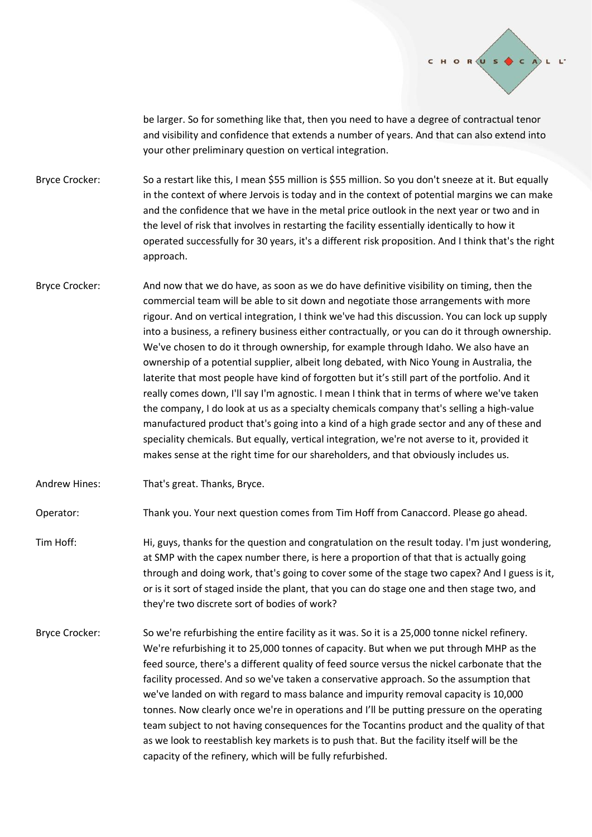

be larger. So for something like that, then you need to have a degree of contractual tenor and visibility and confidence that extends a number of years. And that can also extend into your other preliminary question on vertical integration.

Bryce Crocker: So a restart like this, I mean \$55 million is \$55 million. So you don't sneeze at it. But equally in the context of where Jervois is today and in the context of potential margins we can make and the confidence that we have in the metal price outlook in the next year or two and in the level of risk that involves in restarting the facility essentially identically to how it operated successfully for 30 years, it's a different risk proposition. And I think that's the right approach.

Bryce Crocker: And now that we do have, as soon as we do have definitive visibility on timing, then the commercial team will be able to sit down and negotiate those arrangements with more rigour. And on vertical integration, I think we've had this discussion. You can lock up supply into a business, a refinery business either contractually, or you can do it through ownership. We've chosen to do it through ownership, for example through Idaho. We also have an ownership of a potential supplier, albeit long debated, with Nico Young in Australia, the laterite that most people have kind of forgotten but it's still part of the portfolio. And it really comes down, I'll say I'm agnostic. I mean I think that in terms of where we've taken the company, I do look at us as a specialty chemicals company that's selling a high-value manufactured product that's going into a kind of a high grade sector and any of these and speciality chemicals. But equally, vertical integration, we're not averse to it, provided it makes sense at the right time for our shareholders, and that obviously includes us.

Andrew Hines: That's great. Thanks, Bryce.

Operator: Thank you. Your next question comes from Tim Hoff from Canaccord. Please go ahead.

- Tim Hoff: Hi, guys, thanks for the question and congratulation on the result today. I'm just wondering, at SMP with the capex number there, is here a proportion of that that is actually going through and doing work, that's going to cover some of the stage two capex? And I guess is it, or is it sort of staged inside the plant, that you can do stage one and then stage two, and they're two discrete sort of bodies of work?
- Bryce Crocker: So we're refurbishing the entire facility as it was. So it is a 25,000 tonne nickel refinery. We're refurbishing it to 25,000 tonnes of capacity. But when we put through MHP as the feed source, there's a different quality of feed source versus the nickel carbonate that the facility processed. And so we've taken a conservative approach. So the assumption that we've landed on with regard to mass balance and impurity removal capacity is 10,000 tonnes. Now clearly once we're in operations and I'll be putting pressure on the operating team subject to not having consequences for the Tocantins product and the quality of that as we look to reestablish key markets is to push that. But the facility itself will be the capacity of the refinery, which will be fully refurbished.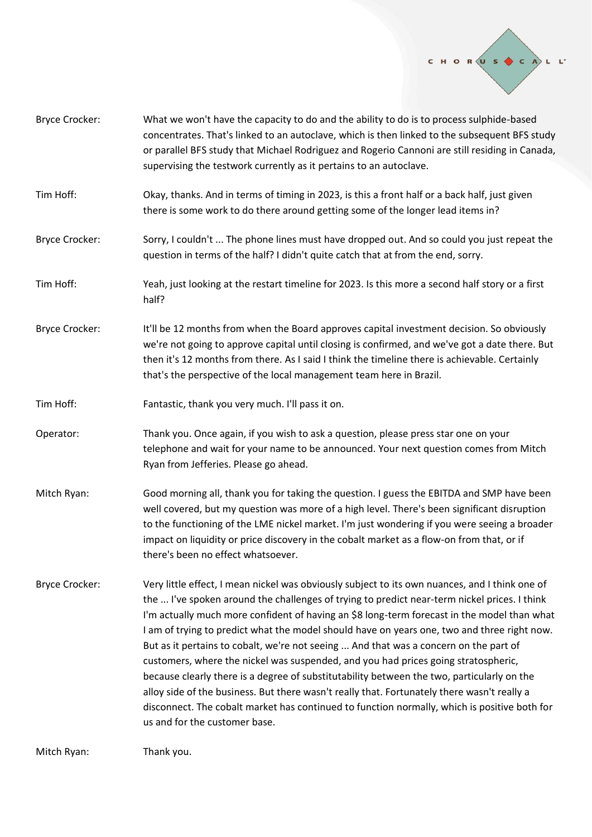

| <b>Bryce Crocker:</b> | What we won't have the capacity to do and the ability to do is to process sulphide-based<br>concentrates. That's linked to an autoclave, which is then linked to the subsequent BFS study<br>or parallel BFS study that Michael Rodriguez and Rogerio Cannoni are still residing in Canada,<br>supervising the testwork currently as it pertains to an autoclave.                                                                                                                                                                                                                                                                                                                                                                                                                                                                                                                                         |
|-----------------------|-----------------------------------------------------------------------------------------------------------------------------------------------------------------------------------------------------------------------------------------------------------------------------------------------------------------------------------------------------------------------------------------------------------------------------------------------------------------------------------------------------------------------------------------------------------------------------------------------------------------------------------------------------------------------------------------------------------------------------------------------------------------------------------------------------------------------------------------------------------------------------------------------------------|
| Tim Hoff:             | Okay, thanks. And in terms of timing in 2023, is this a front half or a back half, just given<br>there is some work to do there around getting some of the longer lead items in?                                                                                                                                                                                                                                                                                                                                                                                                                                                                                                                                                                                                                                                                                                                          |
| <b>Bryce Crocker:</b> | Sorry, I couldn't  The phone lines must have dropped out. And so could you just repeat the<br>question in terms of the half? I didn't quite catch that at from the end, sorry.                                                                                                                                                                                                                                                                                                                                                                                                                                                                                                                                                                                                                                                                                                                            |
| Tim Hoff:             | Yeah, just looking at the restart timeline for 2023. Is this more a second half story or a first<br>half?                                                                                                                                                                                                                                                                                                                                                                                                                                                                                                                                                                                                                                                                                                                                                                                                 |
| <b>Bryce Crocker:</b> | It'll be 12 months from when the Board approves capital investment decision. So obviously<br>we're not going to approve capital until closing is confirmed, and we've got a date there. But<br>then it's 12 months from there. As I said I think the timeline there is achievable. Certainly<br>that's the perspective of the local management team here in Brazil.                                                                                                                                                                                                                                                                                                                                                                                                                                                                                                                                       |
| Tim Hoff:             | Fantastic, thank you very much. I'll pass it on.                                                                                                                                                                                                                                                                                                                                                                                                                                                                                                                                                                                                                                                                                                                                                                                                                                                          |
| Operator:             | Thank you. Once again, if you wish to ask a question, please press star one on your<br>telephone and wait for your name to be announced. Your next question comes from Mitch<br>Ryan from Jefferies. Please go ahead.                                                                                                                                                                                                                                                                                                                                                                                                                                                                                                                                                                                                                                                                                     |
| Mitch Ryan:           | Good morning all, thank you for taking the question. I guess the EBITDA and SMP have been<br>well covered, but my question was more of a high level. There's been significant disruption<br>to the functioning of the LME nickel market. I'm just wondering if you were seeing a broader<br>impact on liquidity or price discovery in the cobalt market as a flow-on from that, or if<br>there's been no effect whatsoever.                                                                                                                                                                                                                                                                                                                                                                                                                                                                               |
| <b>Bryce Crocker:</b> | Very little effect, I mean nickel was obviously subject to its own nuances, and I think one of<br>the  I've spoken around the challenges of trying to predict near-term nickel prices. I think<br>I'm actually much more confident of having an \$8 long-term forecast in the model than what<br>I am of trying to predict what the model should have on years one, two and three right now.<br>But as it pertains to cobalt, we're not seeing  And that was a concern on the part of<br>customers, where the nickel was suspended, and you had prices going stratospheric,<br>because clearly there is a degree of substitutability between the two, particularly on the<br>alloy side of the business. But there wasn't really that. Fortunately there wasn't really a<br>disconnect. The cobalt market has continued to function normally, which is positive both for<br>us and for the customer base. |
|                       |                                                                                                                                                                                                                                                                                                                                                                                                                                                                                                                                                                                                                                                                                                                                                                                                                                                                                                           |

Mitch Ryan: Thank you.